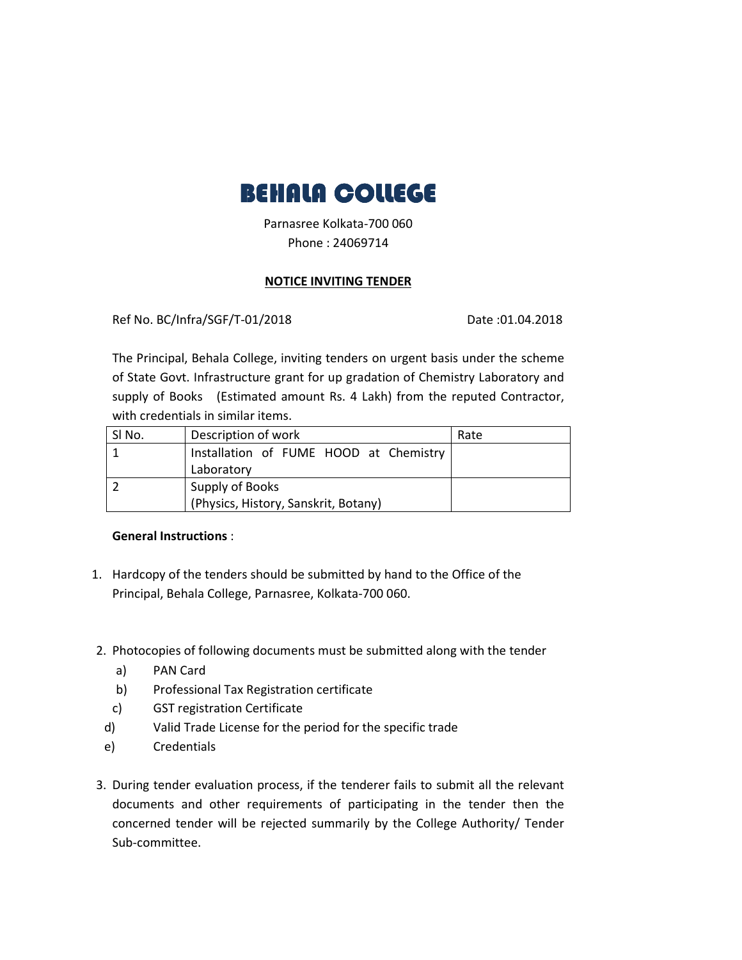

Parnasree Kolkata-700 060 Phone : 24069714

## **NOTICE INVITING TENDER**

Ref No. BC/Infra/SGF/T-01/2018 Date :01.04.2018

The Principal, Behala College, inviting tenders on urgent basis under the scheme of State Govt. Infrastructure grant for up gradation of Chemistry Laboratory and supply of Books (Estimated amount Rs. 4 Lakh) from the reputed Contractor, with credentials in similar items.

| SI No. | Description of work                    | Rate |
|--------|----------------------------------------|------|
|        | Installation of FUME HOOD at Chemistry |      |
|        | Laboratory                             |      |
|        | Supply of Books                        |      |
|        | (Physics, History, Sanskrit, Botany)   |      |

## **General Instructions** :

- 1. Hardcopy of the tenders should be submitted by hand to the Office of the Principal, Behala College, Parnasree, Kolkata-700 060.
- 2. Photocopies of following documents must be submitted along with the tender
	- a) PAN Card
	- b) Professional Tax Registration certificate
	- c) GST registration Certificate
	- d) Valid Trade License for the period for the specific trade
	- e) Credentials
- 3. During tender evaluation process, if the tenderer fails to submit all the relevant documents and other requirements of participating in the tender then the concerned tender will be rejected summarily by the College Authority/ Tender Sub-committee.